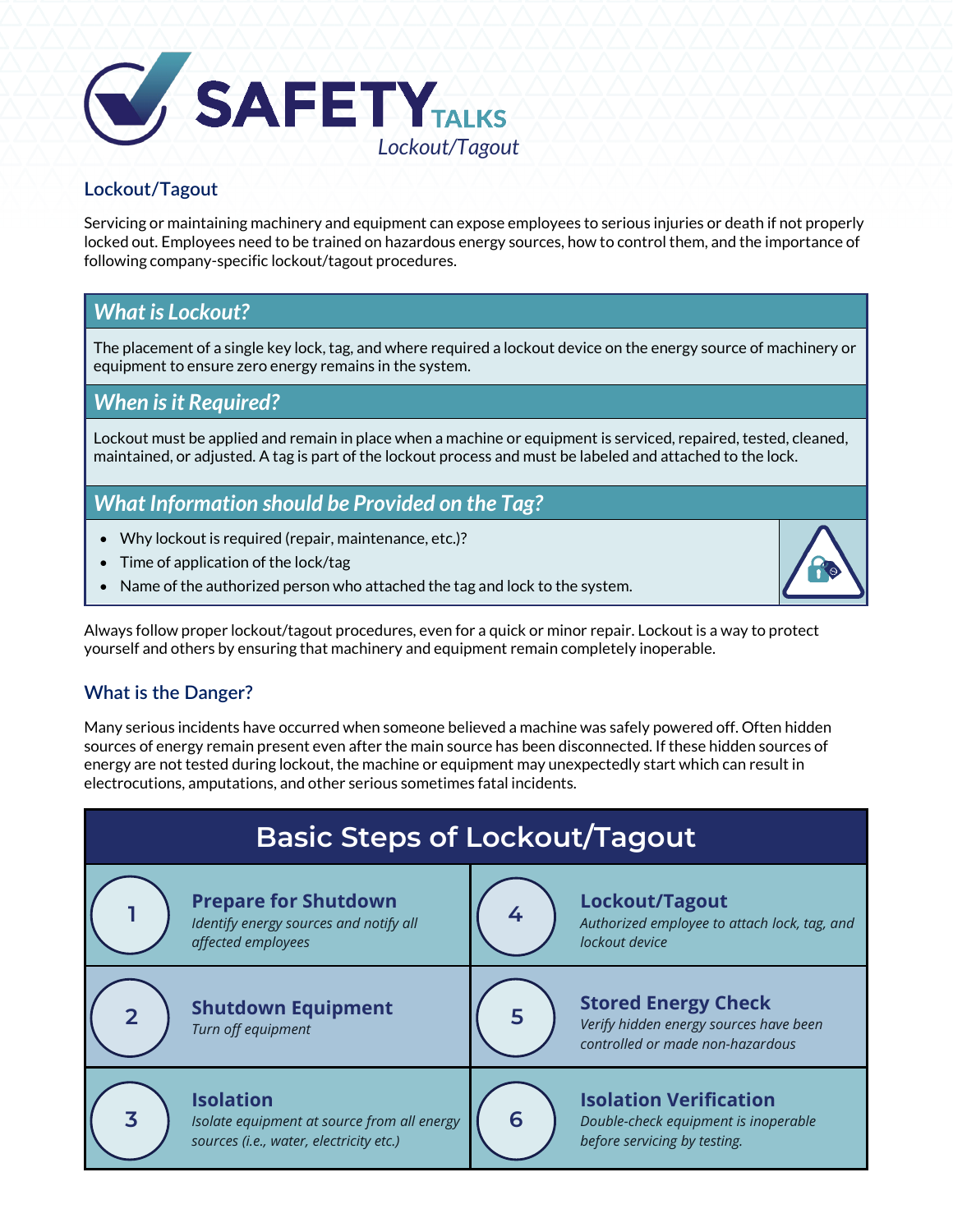

### **Lockout/Tagout**

Servicing or maintaining machinery and equipment can expose employees to serious injuries or death if not properly locked out. Employees need to be trained on hazardous energy sources, how to control them, and the importance of following company-specific lockout/tagout procedures.

# *What is Lockout?*

The placement of a single key lock, tag, and where required a lockout device on the energy source of machinery or equipment to ensure zero energy remains in the system.

## *When is it Required?*

Lockout must be applied and remain in place when a machine or equipment is serviced, repaired, tested, cleaned, maintained, or adjusted. A tag is part of the lockout process and must be labeled and attached to the lock.

# *What Information should be Provided on the Tag?*

- Why lockout is required (repair, maintenance, etc.)?
- Time of application of the lock/tag
- Name of the authorized person who attached the tag and lock to the system.

Always follow proper lockout/tagout procedures, even for a quick or minor repair. Lockout is a way to protect yourself and others by ensuring that machinery and equipment remain completely inoperable.

### **What is the Danger?**

Many serious incidents have occurred when someone believed a machine was safely powered off. Often hidden sources of energy remain present even after the main source has been disconnected. If these hidden sources of energy are not tested during lockout, the machine or equipment may unexpectedly start which can result in electrocutions, amputations, and other serious sometimes fatal incidents.

| <b>Basic Steps of Lockout/Tagout</b> |                                                                                                            |   |                                                                                                          |
|--------------------------------------|------------------------------------------------------------------------------------------------------------|---|----------------------------------------------------------------------------------------------------------|
|                                      | <b>Prepare for Shutdown</b><br>Identify energy sources and notify all<br>affected employees                |   | Lockout/Tagout<br>Authorized employee to attach lock, tag, and<br>lockout device                         |
| $\overline{2}$                       | <b>Shutdown Equipment</b><br>Turn off equipment                                                            |   | <b>Stored Energy Check</b><br>Verify hidden energy sources have been<br>controlled or made non-hazardous |
| $\overline{\mathbf{3}}$              | <b>Isolation</b><br>Isolate equipment at source from all energy<br>sources (i.e., water, electricity etc.) | 6 | <b>Isolation Verification</b><br>Double-check equipment is inoperable<br>before servicing by testing.    |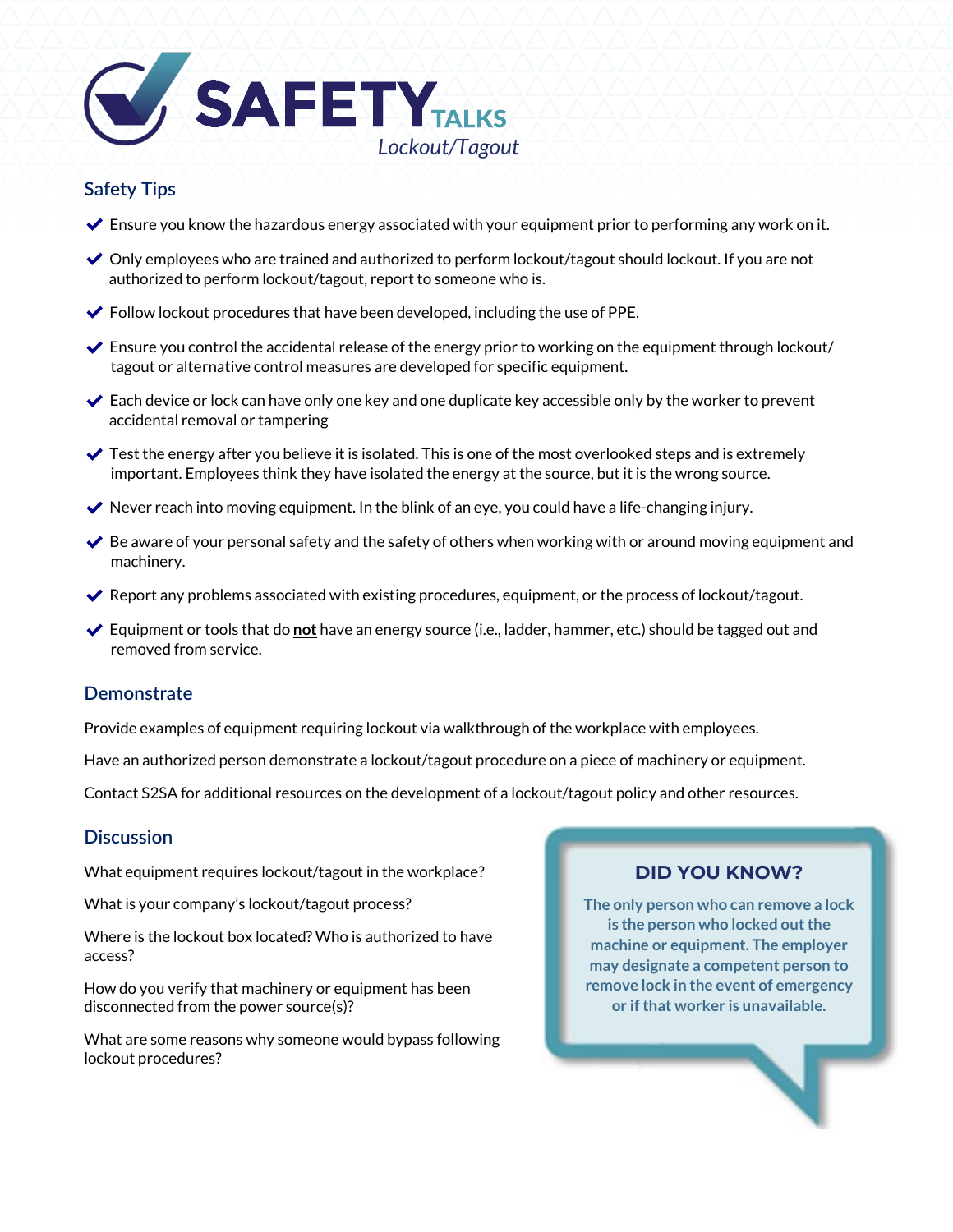

#### **Safety Tips**

- $\blacktriangleright$  Ensure you know the hazardous energy associated with your equipment prior to performing any work on it.
- $\vee$  Only employees who are trained and authorized to perform lockout/tagout should lockout. If you are not authorized to perform lockout/tagout, report to someone who is.
- $\blacktriangleright$  Follow lockout procedures that have been developed, including the use of PPE.
- $\blacktriangleright$  Ensure you control the accidental release of the energy prior to working on the equipment through lockout/ tagout or alternative control measures are developed for specific equipment.
- $\blacktriangleright$  Each device or lock can have only one key and one duplicate key accessible only by the worker to prevent accidental removal or tampering
- $\blacktriangleright$  Test the energy after you believe it is isolated. This is one of the most overlooked steps and is extremely important. Employees think they have isolated the energy at the source, but it is the wrong source.
- $\blacktriangleright$  Never reach into moving equipment. In the blink of an eye, you could have a life-changing injury.
- $\blacktriangleright$  Be aware of your personal safety and the safety of others when working with or around moving equipment and machinery.
- ✔ Report any problems associated with existing procedures, equipment, or the process of lockout/tagout.
- ✔ Equipment or tools that do **not** have an energy source (i.e., ladder, hammer, etc.) should be tagged out and removed from service.

#### **Demonstrate**

Provide examples of equipment requiring lockout via walkthrough of the workplace with employees.

Have an authorized person demonstrate a lockout/tagout procedure on a piece of machinery or equipment.

Contact S2SA for additional resources on the development of a lockout/tagout policy and other resources.

#### **Discussion**

What equipment requires lockout/tagout in the workplace?

What is your company's lockout/tagout process?

Where is the lockout box located? Who is authorized to have access?

How do you verify that machinery or equipment has been disconnected from the power source(s)?

What are some reasons why someone would bypass following lockout procedures?

# **DID YOU KNOW?**

**The only person who can remove a lock is the person who locked out the machine or equipment. The employer may designate a competent person to remove lock in the event of emergency or if that worker is unavailable.**